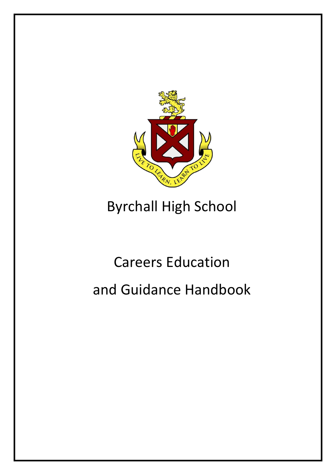

# Byrchall High School

# Careers Education and Guidance Handbook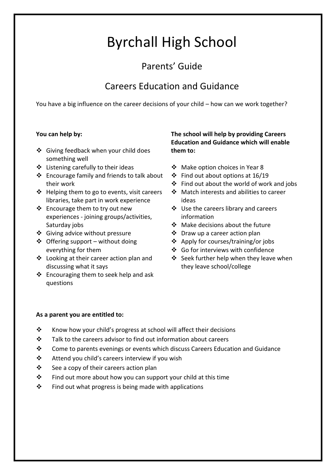## Byrchall High School

### Parents' Guide

### Careers Education and Guidance

You have a big influence on the career decisions of your child – how can we work together?

#### **You can help by:**

- ❖ Giving feedback when your child does something well
- $\triangle$  Listening carefully to their ideas
- ❖ Encourage family and friends to talk about their work
- $\triangleleft$  Helping them to go to events, visit careers libraries, take part in work experience
- Encourage them to try out new experiences - joining groups/activities, Saturday jobs
- ❖ Giving advice without pressure
- $\triangleleft$  Offering support without doing everything for them
- Looking at their career action plan and discussing what it says
- $\triangleleft$  Encouraging them to seek help and ask questions

#### **The school will help by providing Careers Education and Guidance which will enable them to:**

- ❖ Make option choices in Year 8
- $\div$  Find out about options at 16/19
- $\div$  Find out about the world of work and jobs
- ❖ Match interests and abilities to career ideas
- $\div$  Use the careers library and careers information
- Make decisions about the future
- Draw up a career action plan
- Apply for courses/training/or jobs
- Go for interviews with confidence
- ❖ Seek further help when they leave when they leave school/college

#### **As a parent you are entitled to:**

- \* Know how your child's progress at school will affect their decisions
- $\mathbf{\hat{P}}$  Talk to the careers advisor to find out information about careers
- Come to parents evenings or events which discuss Careers Education and Guidance
- $\mathbf{\hat{P}}$  Attend you child's careers interview if you wish
- $\mathbf{\hat{P}}$  See a copy of their careers action plan
- $\mathbf{\hat{P}}$  Find out more about how you can support your child at this time
- $\mathbf{\hat{P}}$  Find out what progress is being made with applications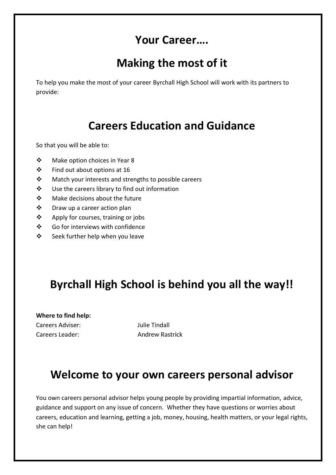### **Your Career….**

### **Making the most of it**

To help you make the most of your career Byrchall High School will work with its partners to provide:

### **Careers Education and Guidance**

So that you will be able to:

- Make option choices in Year 8
- $\div$  Find out about options at 16
- ❖ Match your interests and strengths to possible careers
- Use the careers library to find out information
- Make decisions about the future
- Draw up a career action plan
- ❖ Apply for courses, training or jobs
- ❖ Go for interviews with confidence
- $\div$  Seek further help when you leave

### **Byrchall High School is behind you all the way!!**

**Where to find help:** Careers Adviser: Julie Tindall

Careers Leader: Andrew Rastrick

### **Welcome to your own careers personal advisor**

You own careers personal advisor helps young people by providing impartial information, advice, guidance and support on any issue of concern. Whether they have questions or worries about careers, education and learning, getting a job, money, housing, health matters, or your legal rights, she can help!